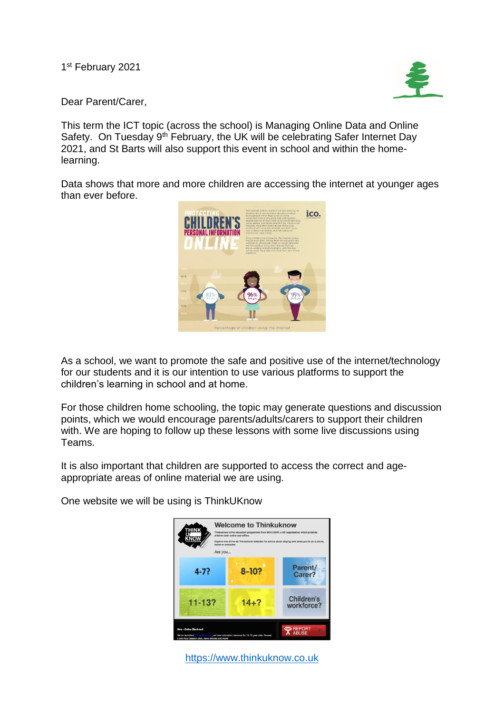1<sup>st</sup> February 2021



Dear Parent/Carer,

This term the ICT topic (across the school) is Managing Online Data and Online Safety. On Tuesday 9<sup>th</sup> February, the UK will be celebrating Safer Internet Day 2021, and St Barts will also support this event in school and within the homelearning.

Data shows that more and more children are accessing the internet at younger ages than ever before.



As a school, we want to promote the safe and positive use of the internet/technology for our students and it is our intention to use various platforms to support the children's learning in school and at home.

For those children home schooling, the topic may generate questions and discussion points, which we would encourage parents/adults/carers to support their children with. We are hoping to follow up these lessons with some live discussions using Teams.

It is also important that children are supported to access the correct and ageappropriate areas of online material we are using.

One website we will be using is ThinkUKnow



[https://www.thinkuknow.co.uk](https://www.thinkuknow.co.uk/)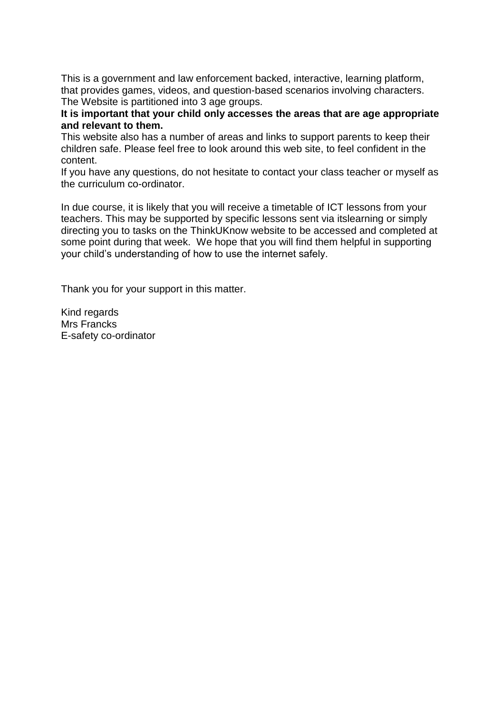This is a government and law enforcement backed, interactive, learning platform, that provides games, videos, and question-based scenarios involving characters. The Website is partitioned into 3 age groups.

**It is important that your child only accesses the areas that are age appropriate and relevant to them.** 

This website also has a number of areas and links to support parents to keep their children safe. Please feel free to look around this web site, to feel confident in the content.

If you have any questions, do not hesitate to contact your class teacher or myself as the curriculum co-ordinator.

In due course, it is likely that you will receive a timetable of ICT lessons from your teachers. This may be supported by specific lessons sent via itslearning or simply directing you to tasks on the ThinkUKnow website to be accessed and completed at some point during that week. We hope that you will find them helpful in supporting your child's understanding of how to use the internet safely.

Thank you for your support in this matter.

Kind regards Mrs Francks E-safety co-ordinator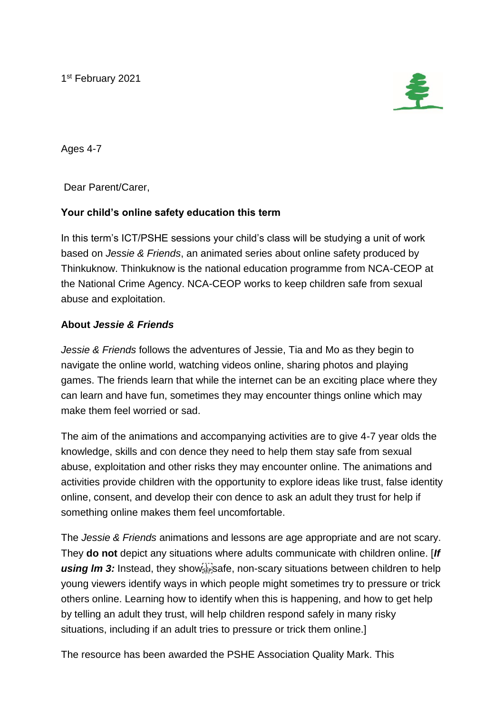1<sup>st</sup> February 2021



Ages 4-7

Dear Parent/Carer,

## **Your child's online safety education this term**

In this term's ICT/PSHE sessions your child's class will be studying a unit of work based on *Jessie & Friends*, an animated series about online safety produced by Thinkuknow. Thinkuknow is the national education programme from NCA-CEOP at the National Crime Agency. NCA-CEOP works to keep children safe from sexual abuse and exploitation.

## **About** *Jessie & Friends*

*Jessie & Friends* follows the adventures of Jessie, Tia and Mo as they begin to navigate the online world, watching videos online, sharing photos and playing games. The friends learn that while the internet can be an exciting place where they can learn and have fun, sometimes they may encounter things online which may make them feel worried or sad.

The aim of the animations and accompanying activities are to give 4-7 year olds the knowledge, skills and con dence they need to help them stay safe from sexual abuse, exploitation and other risks they may encounter online. The animations and activities provide children with the opportunity to explore ideas like trust, false identity online, consent, and develop their con dence to ask an adult they trust for help if something online makes them feel uncomfortable.

The *Jessie & Friends* animations and lessons are age appropriate and are not scary. They **do not** depict any situations where adults communicate with children online. [*If*  using Im 3: Instead, they showsers afe, non-scary situations between children to help young viewers identify ways in which people might sometimes try to pressure or trick others online. Learning how to identify when this is happening, and how to get help by telling an adult they trust, will help children respond safely in many risky situations, including if an adult tries to pressure or trick them online.]

The resource has been awarded the PSHE Association Quality Mark. This